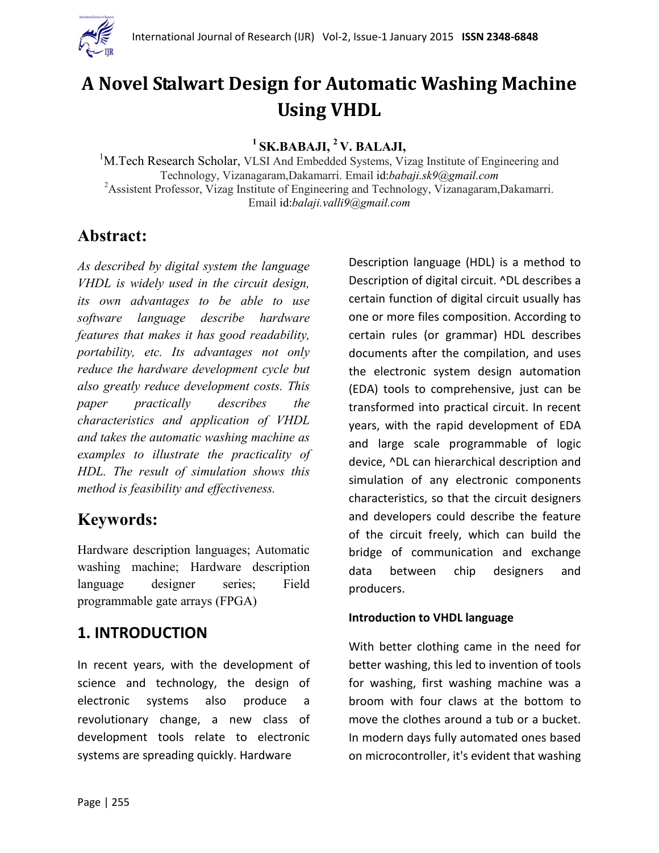

# **A Novel Stalwart Design for Automatic Washing Machine Using VHDL**

**1 SK.BABAJI, <sup>2</sup> V. BALAJI,**

<sup>1</sup>M.Tech Research Scholar, VLSI And Embedded Systems, Vizag Institute of Engineering and Technology, Vizanagaram,Dakamarri. Email id:*babaji.sk9@gmail.com* <sup>2</sup>Assistent Professor, Vizag Institute of Engineering and Technology, Vizanagaram,Dakamarri. Email id:*balaji.valli9@gmail.com*

# **Abstract:**

*As described by digital system the language VHDL is widely used in the circuit design, its own advantages to be able to use software language describe hardware features that makes it has good readability, portability, etc. Its advantages not only reduce the hardware development cycle but also greatly reduce development costs. This paper practically describes the characteristics and application of VHDL and takes the automatic washing machine as examples to illustrate the practicality of HDL. The result of simulation shows this method is feasibility and effectiveness.*

# **Keywords:**

Hardware description languages; Automatic washing machine; Hardware description language designer series; Field programmable gate arrays (FPGA)

## **1. INTRODUCTION**

In recent years, with the development of science and technology, the design of electronic systems also produce a revolutionary change, a new class of development tools relate to electronic systems are spreading quickly. Hardware

Description language (HDL) is a method to Description of digital circuit. ^DL describes a certain function of digital circuit usually has one or more files composition. According to certain rules (or grammar) HDL describes documents after the compilation, and uses the electronic system design automation (EDA) tools to comprehensive, just can be transformed into practical circuit. In recent years, with the rapid development of EDA and large scale programmable of logic device, ^DL can hierarchical description and simulation of any electronic components characteristics, so that the circuit designers and developers could describe the feature of the circuit freely, which can build the bridge of communication and exchange data between chip designers and producers.

#### **Introduction to VHDL language**

With better clothing came in the need for better washing, this led to invention of tools for washing, first washing machine was a broom with four claws at the bottom to move the clothes around a tub or a bucket. In modern days fully automated ones based on microcontroller, it's evident that washing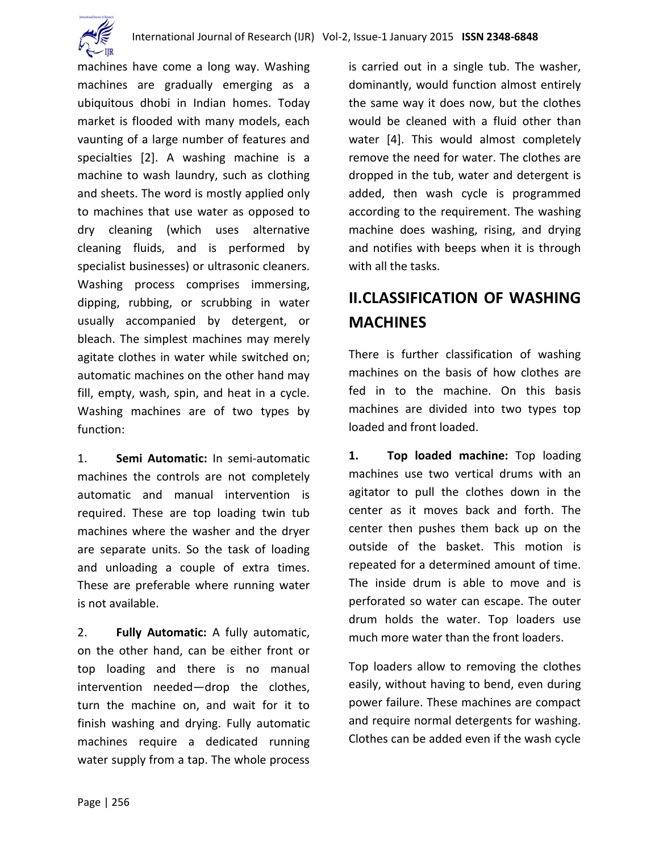

machines have come a long way. Washing machines are gradually emerging as a ubiquitous dhobi in Indian homes. Today market is flooded with many models, each vaunting of a large number of features and specialties [2]. A washing machine is a machine to wash laundry, such as clothing and sheets. The word is mostly applied only to machines that use water as opposed to dry cleaning (which uses alternative cleaning fluids, and is performed by specialist businesses) or ultrasonic cleaners. Washing process comprises immersing, dipping, rubbing, or scrubbing in water usually accompanied by detergent, or bleach. The simplest machines may merely agitate clothes in water while switched on; automatic machines on the other hand may fill, empty, wash, spin, and heat in a cycle. Washing machines are of two types by function:

1. **Semi Automatic:** In semi-automatic machines the controls are not completely automatic and manual intervention is required. These are top loading twin tub machines where the washer and the dryer are separate units. So the task of loading and unloading a couple of extra times. These are preferable where running water is not available.

2. **Fully Automatic:** A fully automatic, on the other hand, can be either front or top loading and there is no manual intervention needed—drop the clothes, turn the machine on, and wait for it to finish washing and drying. Fully automatic machines require a dedicated running water supply from a tap. The whole process

is carried out in a single tub. The washer, dominantly, would function almost entirely the same way it does now, but the clothes would be cleaned with a fluid other than water [4]. This would almost completely remove the need for water. The clothes are dropped in the tub, water and detergent is added, then wash cycle is programmed according to the requirement. The washing machine does washing, rising, and drying and notifies with beeps when it is through with all the tasks.

# **II.CLASSIFICATION OF WASHING MACHINES**

There is further classification of washing machines on the basis of how clothes are fed in to the machine. On this basis machines are divided into two types top loaded and front loaded.

**1. Top loaded machine:** Top loading machines use two vertical drums with an agitator to pull the clothes down in the center as it moves back and forth. The center then pushes them back up on the outside of the basket. This motion is repeated for a determined amount of time. The inside drum is able to move and is perforated so water can escape. The outer drum holds the water. Top loaders use much more water than the front loaders.

Top loaders allow to removing the clothes easily, without having to bend, even during power failure. These machines are compact and require normal detergents for washing. Clothes can be added even if the wash cycle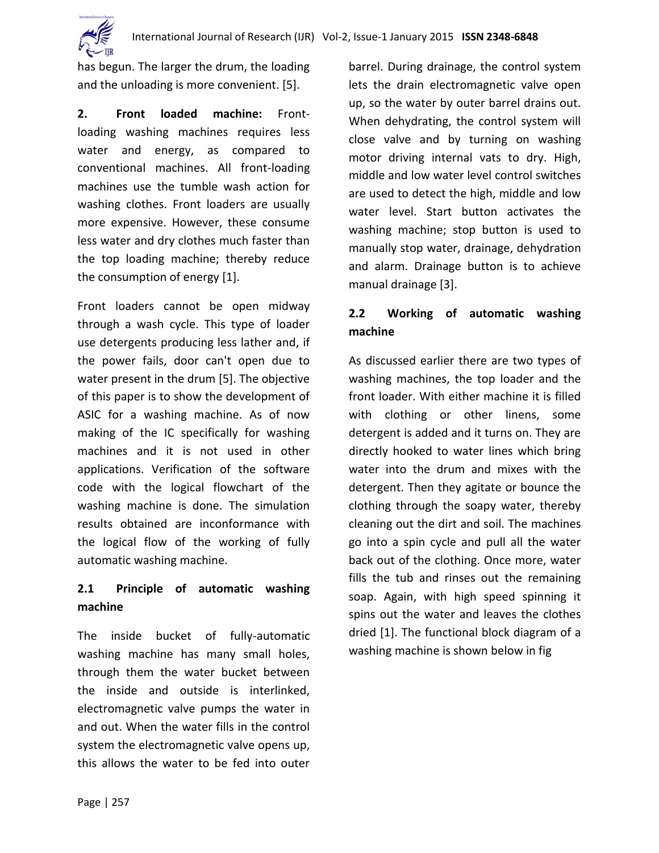

has begun. The larger the drum, the loading and the unloading is more convenient. [5].

**2. Front loaded machine:** Frontloading washing machines requires less water and energy, as compared to conventional machines. All front-loading machines use the tumble wash action for washing clothes. Front loaders are usually more expensive. However, these consume less water and dry clothes much faster than the top loading machine; thereby reduce the consumption of energy [1].

Front loaders cannot be open midway through a wash cycle. This type of loader use detergents producing less lather and, if the power fails, door can't open due to water present in the drum [5]. The objective of this paper is to show the development of ASIC for a washing machine. As of now making of the IC specifically for washing machines and it is not used in other applications. Verification of the software code with the logical flowchart of the washing machine is done. The simulation results obtained are inconformance with the logical flow of the working of fully automatic washing machine.

### **2.1 Principle of automatic washing machine**

The inside bucket of fully-automatic washing machine has many small holes, through them the water bucket between the inside and outside is interlinked, electromagnetic valve pumps the water in and out. When the water fills in the control system the electromagnetic valve opens up, this allows the water to be fed into outer

barrel. During drainage, the control system lets the drain electromagnetic valve open up, so the water by outer barrel drains out. When dehydrating, the control system will close valve and by turning on washing motor driving internal vats to dry. High, middle and low water level control switches are used to detect the high, middle and low water level. Start button activates the washing machine; stop button is used to manually stop water, drainage, dehydration and alarm. Drainage button is to achieve manual drainage [3].

### **2.2 Working of automatic washing machine**

As discussed earlier there are two types of washing machines, the top loader and the front loader. With either machine it is filled with clothing or other linens, some detergent is added and it turns on. They are directly hooked to water lines which bring water into the drum and mixes with the detergent. Then they agitate or bounce the clothing through the soapy water, thereby cleaning out the dirt and soil. The machines go into a spin cycle and pull all the water back out of the clothing. Once more, water fills the tub and rinses out the remaining soap. Again, with high speed spinning it spins out the water and leaves the clothes dried [1]. The functional block diagram of a washing machine is shown below in fig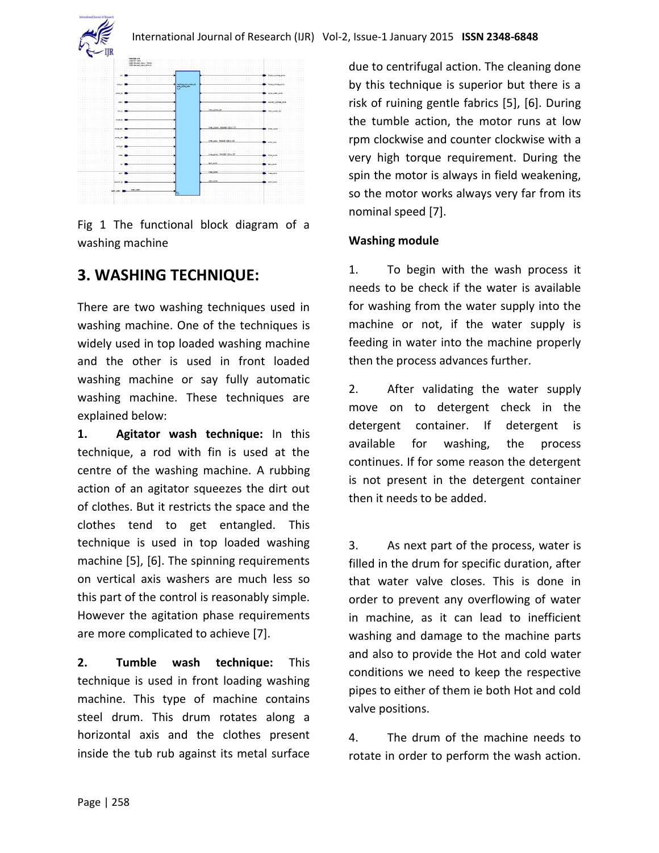

Fig 1 The functional block diagram of a washing machine

## **3. WASHING TECHNIQUE:**

There are two washing techniques used in washing machine. One of the techniques is widely used in top loaded washing machine and the other is used in front loaded washing machine or say fully automatic washing machine. These techniques are explained below:

**1. Agitator wash technique:** In this technique, a rod with fin is used at the centre of the washing machine. A rubbing action of an agitator squeezes the dirt out of clothes. But it restricts the space and the clothes tend to get entangled. This technique is used in top loaded washing machine [5], [6]. The spinning requirements on vertical axis washers are much less so this part of the control is reasonably simple. However the agitation phase requirements are more complicated to achieve [7].

**2. Tumble wash technique:** This technique is used in front loading washing machine. This type of machine contains steel drum. This drum rotates along a horizontal axis and the clothes present inside the tub rub against its metal surface due to centrifugal action. The cleaning done by this technique is superior but there is a risk of ruining gentle fabrics [5], [6]. During the tumble action, the motor runs at low rpm clockwise and counter clockwise with a very high torque requirement. During the spin the motor is always in field weakening, so the motor works always very far from its nominal speed [7].

#### **Washing module**

1. To begin with the wash process it needs to be check if the water is available for washing from the water supply into the machine or not, if the water supply is feeding in water into the machine properly then the process advances further.

2. After validating the water supply move on to detergent check in the detergent container. If detergent is available for washing, the process continues. If for some reason the detergent is not present in the detergent container then it needs to be added.

3. As next part of the process, water is filled in the drum for specific duration, after that water valve closes. This is done in order to prevent any overflowing of water in machine, as it can lead to inefficient washing and damage to the machine parts and also to provide the Hot and cold water conditions we need to keep the respective pipes to either of them ie both Hot and cold valve positions.

4. The drum of the machine needs to rotate in order to perform the wash action.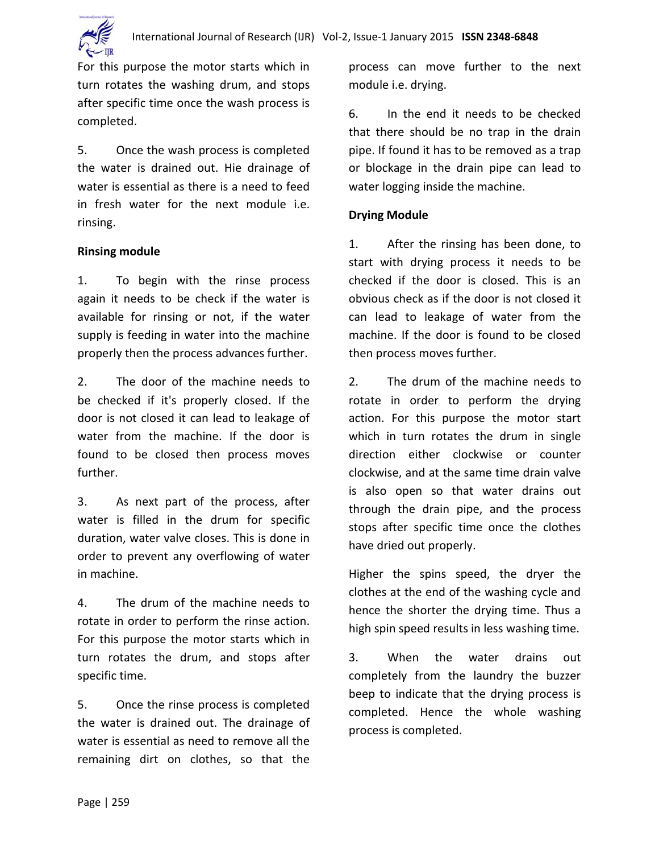

For this purpose the motor starts which in turn rotates the washing drum, and stops after specific time once the wash process is completed.

5. Once the wash process is completed the water is drained out. Hie drainage of water is essential as there is a need to feed in fresh water for the next module i.e. rinsing.

#### **Rinsing module**

1. To begin with the rinse process again it needs to be check if the water is available for rinsing or not, if the water supply is feeding in water into the machine properly then the process advances further.

2. The door of the machine needs to be checked if it's properly closed. If the door is not closed it can lead to leakage of water from the machine. If the door is found to be closed then process moves further.

3. As next part of the process, after water is filled in the drum for specific duration, water valve closes. This is done in order to prevent any overflowing of water in machine.

4. The drum of the machine needs to rotate in order to perform the rinse action. For this purpose the motor starts which in turn rotates the drum, and stops after specific time.

5. Once the rinse process is completed the water is drained out. The drainage of water is essential as need to remove all the remaining dirt on clothes, so that the process can move further to the next module i.e. drying.

6. In the end it needs to be checked that there should be no trap in the drain pipe. If found it has to be removed as a trap or blockage in the drain pipe can lead to water logging inside the machine.

#### **Drying Module**

1. After the rinsing has been done, to start with drying process it needs to be checked if the door is closed. This is an obvious check as if the door is not closed it can lead to leakage of water from the machine. If the door is found to be closed then process moves further.

2. The drum of the machine needs to rotate in order to perform the drying action. For this purpose the motor start which in turn rotates the drum in single direction either clockwise or counter clockwise, and at the same time drain valve is also open so that water drains out through the drain pipe, and the process stops after specific time once the clothes have dried out properly.

Higher the spins speed, the dryer the clothes at the end of the washing cycle and hence the shorter the drying time. Thus a high spin speed results in less washing time.

3. When the water drains out completely from the laundry the buzzer beep to indicate that the drying process is completed. Hence the whole washing process is completed.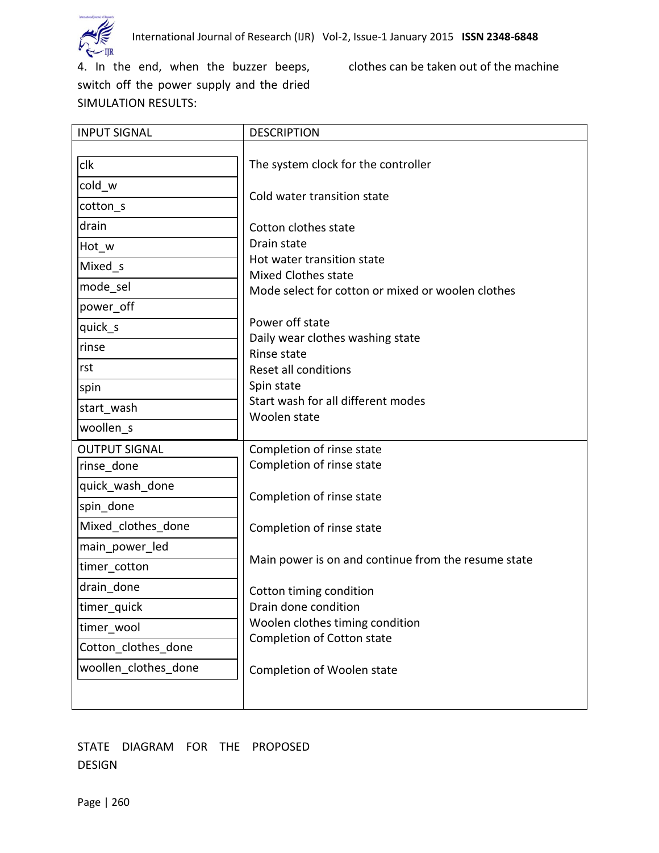

4. In the end, when the buzzer beeps, clothes can be taken out of the machine switch off the power supply and the dried SIMULATION RESULTS:

| <b>INPUT SIGNAL</b>                         | <b>DESCRIPTION</b>                                                                                                                      |
|---------------------------------------------|-----------------------------------------------------------------------------------------------------------------------------------------|
| clk<br>cold_w<br>cotton_s<br>drain<br>Hot_w | The system clock for the controller<br>Cold water transition state<br>Cotton clothes state<br>Drain state<br>Hot water transition state |
| Mixed s                                     | <b>Mixed Clothes state</b>                                                                                                              |
| mode sel                                    | Mode select for cotton or mixed or woolen clothes                                                                                       |
| power off                                   |                                                                                                                                         |
| quick_s                                     | Power off state<br>Daily wear clothes washing state                                                                                     |
| rinse                                       | Rinse state                                                                                                                             |
| rst                                         | Reset all conditions                                                                                                                    |
| spin                                        | Spin state                                                                                                                              |
| start wash                                  | Start wash for all different modes<br>Woolen state                                                                                      |
| woollen s                                   |                                                                                                                                         |
| <b>OUTPUT SIGNAL</b>                        | Completion of rinse state                                                                                                               |
| rinse done                                  | Completion of rinse state                                                                                                               |
| quick wash done                             | Completion of rinse state                                                                                                               |
| spin_done                                   |                                                                                                                                         |
| Mixed clothes done                          | Completion of rinse state                                                                                                               |
| main power led                              |                                                                                                                                         |
| timer_cotton                                | Main power is on and continue from the resume state                                                                                     |
| drain_done                                  | Cotton timing condition                                                                                                                 |
| timer_quick                                 | Drain done condition                                                                                                                    |
| timer wool                                  | Woolen clothes timing condition                                                                                                         |
| Cotton_clothes_done                         | Completion of Cotton state                                                                                                              |
| woollen clothes done                        | Completion of Woolen state                                                                                                              |
|                                             |                                                                                                                                         |

#### STATE DIAGRAM FOR THE PROPOSED DESIGN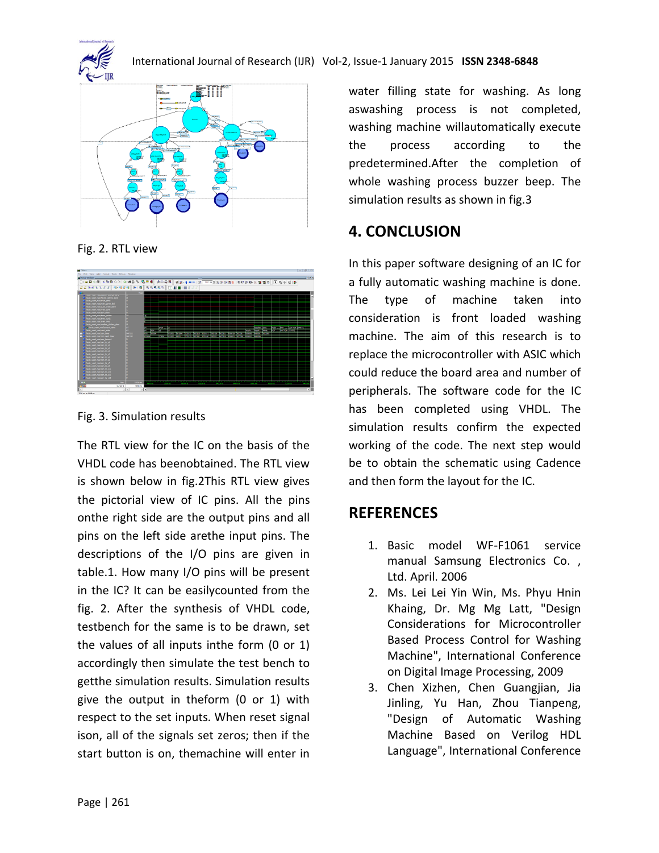



Fig. 2. RTL view



Fig. 3. Simulation results

The RTL view for the IC on the basis of the VHDL code has beenobtained. The RTL view is shown below in fig.2This RTL view gives the pictorial view of IC pins. All the pins onthe right side are the output pins and all pins on the left side arethe input pins. The descriptions of the I/O pins are given in table.1. How many I/O pins will be present in the IC? It can be easilycounted from the fig. 2. After the synthesis of VHDL code, testbench for the same is to be drawn, set the values of all inputs inthe form (0 or 1) accordingly then simulate the test bench to getthe simulation results. Simulation results give the output in theform (0 or 1) with respect to the set inputs. When reset signal ison, all of the signals set zeros; then if the start button is on, themachine will enter in

water filling state for washing. As long aswashing process is not completed, washing machine willautomatically execute the process according to the predetermined.After the completion of whole washing process buzzer beep. The simulation results as shown in fig.3

## **4. CONCLUSION**

In this paper software designing of an IC for a fully automatic washing machine is done. The type of machine taken into consideration is front loaded washing machine. The aim of this research is to replace the microcontroller with ASIC which could reduce the board area and number of peripherals. The software code for the IC has been completed using VHDL. The simulation results confirm the expected working of the code. The next step would be to obtain the schematic using Cadence and then form the layout for the IC.

## **REFERENCES**

- 1. Basic model WF-F1061 service manual Samsung Electronics Co. , Ltd. April. 2006
- 2. Ms. Lei Lei Yin Win, Ms. Phyu Hnin Khaing, Dr. Mg Mg Latt, "Design Considerations for Microcontroller Based Process Control for Washing Machine", International Conference on Digital Image Processing, 2009
- 3. Chen Xizhen, Chen Guangjian, Jia Jinling, Yu Han, Zhou Tianpeng, "Design of Automatic Washing Machine Based on Verilog HDL Language", International Conference